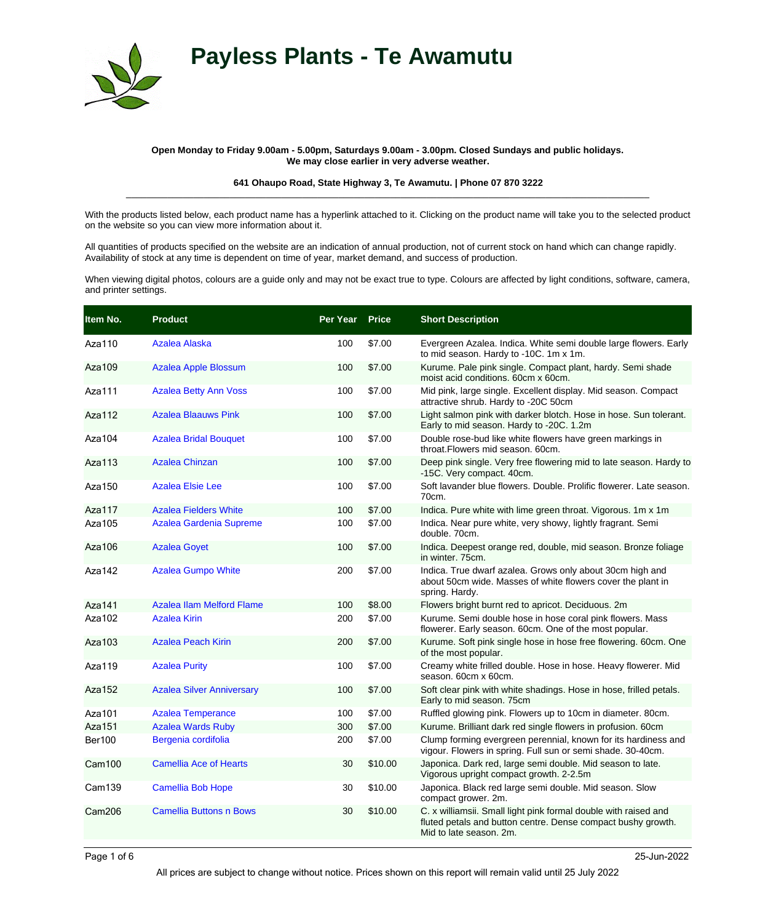



## **Open Monday to Friday 9.00am - 5.00pm, Saturdays 9.00am - 3.00pm. Closed Sundays and public holidays. We may close earlier in very adverse weather.**

**641 Ohaupo Road, State Highway 3, Te Awamutu. | Phone 07 870 3222** \_\_\_\_\_\_\_\_\_\_\_\_\_\_\_\_\_\_\_\_\_\_\_\_\_\_\_\_\_\_\_\_\_\_\_\_\_\_\_\_\_\_\_\_\_\_\_\_\_\_\_\_\_\_\_\_\_\_\_\_\_\_\_\_\_\_\_\_\_\_\_\_\_\_\_\_\_\_\_\_\_\_\_\_\_\_\_\_\_\_\_\_\_\_\_\_\_\_\_\_\_

With the products listed below, each product name has a hyperlink attached to it. Clicking on the product name will take you to the selected product on the website so you can view more information about it.

All quantities of products specified on the website are an indication of annual production, not of current stock on hand which can change rapidly. Availability of stock at any time is dependent on time of year, market demand, and success of production.

When viewing digital photos, colours are a guide only and may not be exact true to type. Colours are affected by light conditions, software, camera, and printer settings.

| Item No.      | <b>Product</b>                   | Per Year | <b>Price</b> | <b>Short Description</b>                                                                                                                                   |
|---------------|----------------------------------|----------|--------------|------------------------------------------------------------------------------------------------------------------------------------------------------------|
| Aza110        | Azalea Alaska                    | 100      | \$7.00       | Evergreen Azalea. Indica. White semi double large flowers. Early<br>to mid season. Hardy to -10C. 1m x 1m.                                                 |
| Aza109        | <b>Azalea Apple Blossum</b>      | 100      | \$7.00       | Kurume. Pale pink single. Compact plant, hardy. Semi shade<br>moist acid conditions. 60cm x 60cm.                                                          |
| Aza111        | <b>Azalea Betty Ann Voss</b>     | 100      | \$7.00       | Mid pink, large single. Excellent display. Mid season. Compact<br>attractive shrub. Hardy to -20C 50cm                                                     |
| Aza112        | <b>Azalea Blaauws Pink</b>       | 100      | \$7.00       | Light salmon pink with darker blotch. Hose in hose. Sun tolerant.<br>Early to mid season. Hardy to -20C. 1.2m                                              |
| Aza104        | <b>Azalea Bridal Bouquet</b>     | 100      | \$7.00       | Double rose-bud like white flowers have green markings in<br>throat. Flowers mid season, 60cm.                                                             |
| Aza113        | Azalea Chinzan                   | 100      | \$7.00       | Deep pink single. Very free flowering mid to late season. Hardy to<br>-15C. Very compact. 40cm.                                                            |
| Aza150        | <b>Azalea Elsie Lee</b>          | 100      | \$7.00       | Soft lavander blue flowers. Double. Prolific flowerer. Late season.<br>70cm.                                                                               |
| Aza117        | <b>Azalea Fielders White</b>     | 100      | \$7.00       | Indica. Pure white with lime green throat. Vigorous. 1m x 1m                                                                                               |
| Aza105        | Azalea Gardenia Supreme          | 100      | \$7.00       | Indica. Near pure white, very showy, lightly fragrant. Semi<br>double, 70cm.                                                                               |
| Aza106        | <b>Azalea Goyet</b>              | 100      | \$7.00       | Indica. Deepest orange red, double, mid season. Bronze foliage<br>in winter, 75cm.                                                                         |
| Aza142        | <b>Azalea Gumpo White</b>        | 200      | \$7.00       | Indica. True dwarf azalea. Grows only about 30cm high and<br>about 50cm wide. Masses of white flowers cover the plant in<br>spring. Hardy.                 |
| Aza141        | Azalea Ilam Melford Flame        | 100      | \$8.00       | Flowers bright burnt red to apricot. Deciduous. 2m                                                                                                         |
| Aza102        | <b>Azalea Kirin</b>              | 200      | \$7.00       | Kurume. Semi double hose in hose coral pink flowers. Mass<br>flowerer. Early season. 60cm. One of the most popular.                                        |
| Aza103        | <b>Azalea Peach Kirin</b>        | 200      | \$7.00       | Kurume. Soft pink single hose in hose free flowering. 60cm. One<br>of the most popular.                                                                    |
| Aza119        | <b>Azalea Purity</b>             | 100      | \$7.00       | Creamy white frilled double. Hose in hose. Heavy flowerer. Mid<br>season, 60cm x 60cm.                                                                     |
| Aza152        | <b>Azalea Silver Anniversary</b> | 100      | \$7.00       | Soft clear pink with white shadings. Hose in hose, frilled petals.<br>Early to mid season. 75cm                                                            |
| Aza101        | <b>Azalea Temperance</b>         | 100      | \$7.00       | Ruffled glowing pink. Flowers up to 10cm in diameter. 80cm.                                                                                                |
| Aza151        | <b>Azalea Wards Ruby</b>         | 300      | \$7.00       | Kurume. Brilliant dark red single flowers in profusion. 60cm                                                                                               |
| <b>Ber100</b> | Bergenia cordifolia              | 200      | \$7.00       | Clump forming evergreen perennial, known for its hardiness and<br>vigour. Flowers in spring. Full sun or semi shade. 30-40cm.                              |
| <b>Cam100</b> | <b>Camellia Ace of Hearts</b>    | 30       | \$10.00      | Japonica. Dark red, large semi double. Mid season to late.<br>Vigorous upright compact growth. 2-2.5m                                                      |
| Cam139        | <b>Camellia Bob Hope</b>         | 30       | \$10.00      | Japonica. Black red large semi double. Mid season. Slow<br>compact grower. 2m.                                                                             |
| Cam206        | <b>Camellia Buttons n Bows</b>   | 30       | \$10.00      | C. x williamsii. Small light pink formal double with raised and<br>fluted petals and button centre. Dense compact bushy growth.<br>Mid to late season, 2m. |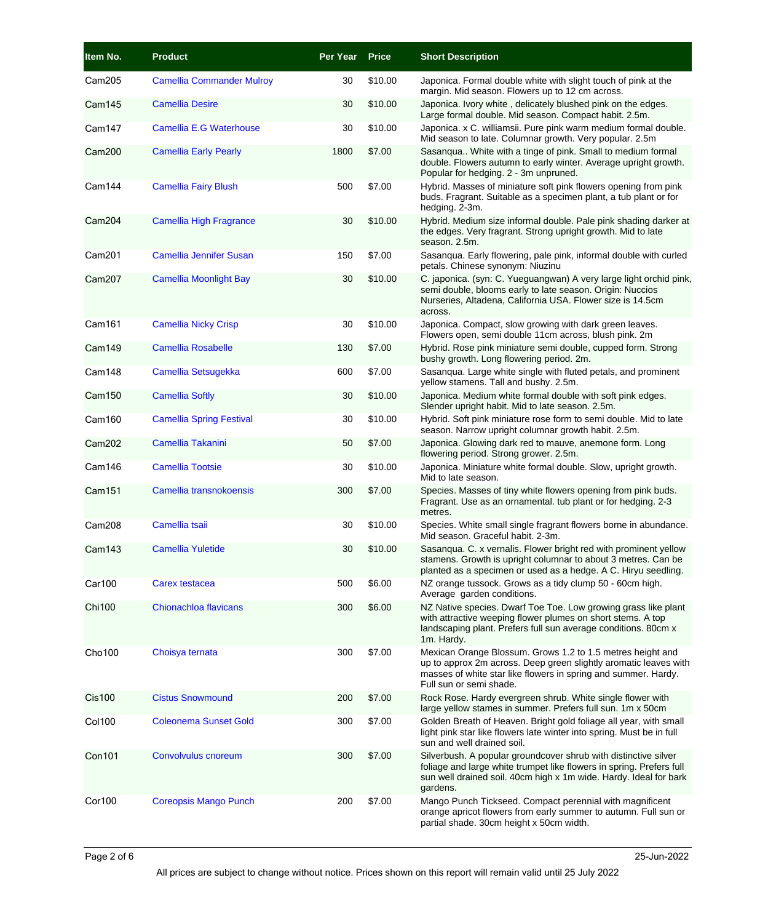| Item No.           | <b>Product</b>                   | Per Year | <b>Price</b> | <b>Short Description</b>                                                                                                                                                                                                    |
|--------------------|----------------------------------|----------|--------------|-----------------------------------------------------------------------------------------------------------------------------------------------------------------------------------------------------------------------------|
| Cam205             | <b>Camellia Commander Mulroy</b> | 30       | \$10.00      | Japonica. Formal double white with slight touch of pink at the<br>margin. Mid season. Flowers up to 12 cm across.                                                                                                           |
| Cam145             | <b>Camellia Desire</b>           | 30       | \$10.00      | Japonica. Ivory white, delicately blushed pink on the edges.<br>Large formal double. Mid season. Compact habit. 2.5m.                                                                                                       |
| Cam147             | <b>Camellia E.G Waterhouse</b>   | 30       | \$10.00      | Japonica. x C. williamsii. Pure pink warm medium formal double.<br>Mid season to late. Columnar growth. Very popular. 2.5m                                                                                                  |
| Cam200             | <b>Camellia Early Pearly</b>     | 1800     | \$7.00       | Sasangua White with a tinge of pink. Small to medium formal<br>double. Flowers autumn to early winter. Average upright growth.<br>Popular for hedging. 2 - 3m unpruned.                                                     |
| Cam144             | <b>Camellia Fairy Blush</b>      | 500      | \$7.00       | Hybrid. Masses of miniature soft pink flowers opening from pink<br>buds. Fragrant. Suitable as a specimen plant, a tub plant or for<br>hedging. 2-3m.                                                                       |
| Cam <sub>204</sub> | <b>Camellia High Fragrance</b>   | 30       | \$10.00      | Hybrid. Medium size informal double. Pale pink shading darker at<br>the edges. Very fragrant. Strong upright growth. Mid to late<br>season. 2.5m.                                                                           |
| Cam201             | Camellia Jennifer Susan          | 150      | \$7.00       | Sasanqua. Early flowering, pale pink, informal double with curled<br>petals. Chinese synonym: Niuzinu                                                                                                                       |
| Cam207             | <b>Camellia Moonlight Bay</b>    | 30       | \$10.00      | C. japonica. (syn: C. Yueguangwan) A very large light orchid pink,<br>semi double, blooms early to late season. Origin: Nuccios<br>Nurseries, Altadena, California USA. Flower size is 14.5cm<br>across.                    |
| Cam161             | <b>Camellia Nicky Crisp</b>      | 30       | \$10.00      | Japonica. Compact, slow growing with dark green leaves.<br>Flowers open, semi double 11cm across, blush pink. 2m                                                                                                            |
| Cam149             | <b>Camellia Rosabelle</b>        | 130      | \$7.00       | Hybrid. Rose pink miniature semi double, cupped form. Strong<br>bushy growth. Long flowering period. 2m.                                                                                                                    |
| Cam148             | Camellia Setsugekka              | 600      | \$7.00       | Sasanqua. Large white single with fluted petals, and prominent<br>yellow stamens. Tall and bushy. 2.5m.                                                                                                                     |
| Cam150             | <b>Camellia Softly</b>           | 30       | \$10.00      | Japonica. Medium white formal double with soft pink edges.<br>Slender upright habit. Mid to late season. 2.5m.                                                                                                              |
| Cam160             | <b>Camellia Spring Festival</b>  | 30       | \$10.00      | Hybrid. Soft pink miniature rose form to semi double. Mid to late<br>season. Narrow upright columnar growth habit. 2.5m.                                                                                                    |
| <b>Cam202</b>      | <b>Camellia Takanini</b>         | 50       | \$7.00       | Japonica. Glowing dark red to mauve, anemone form. Long<br>flowering period. Strong grower. 2.5m.                                                                                                                           |
| Cam146             | <b>Camellia Tootsie</b>          | 30       | \$10.00      | Japonica. Miniature white formal double. Slow, upright growth.<br>Mid to late season.                                                                                                                                       |
| <b>Cam151</b>      | Camellia transnokoensis          | 300      | \$7.00       | Species. Masses of tiny white flowers opening from pink buds.<br>Fragrant. Use as an ornamental. tub plant or for hedging. 2-3<br>metres.                                                                                   |
| Cam208             | Camellia tsaii                   | 30       | \$10.00      | Species. White small single fragrant flowers borne in abundance.<br>Mid season. Graceful habit. 2-3m.                                                                                                                       |
| Cam <sub>143</sub> | <b>Camellia Yuletide</b>         | 30       | \$10.00      | Sasanqua. C. x vernalis. Flower bright red with prominent yellow<br>stamens. Growth is upright columnar to about 3 metres. Can be<br>planted as a specimen or used as a hedge. A C. Hiryu seedling.                         |
| Car100             | Carex testacea                   | 500      | \$6.00       | NZ orange tussock. Grows as a tidy clump 50 - 60cm high.<br>Average garden conditions.                                                                                                                                      |
| <b>Chi100</b>      | Chionachloa flavicans            | 300      | \$6.00       | NZ Native species. Dwarf Toe Toe. Low growing grass like plant<br>with attractive weeping flower plumes on short stems. A top<br>landscaping plant. Prefers full sun average conditions. 80cm x<br>1m. Hardy.               |
| Cho <sub>100</sub> | Choisya ternata                  | 300      | \$7.00       | Mexican Orange Blossum. Grows 1.2 to 1.5 metres height and<br>up to approx 2m across. Deep green slightly aromatic leaves with<br>masses of white star like flowers in spring and summer. Hardy.<br>Full sun or semi shade. |
| <b>Cis100</b>      | <b>Cistus Snowmound</b>          | 200      | \$7.00       | Rock Rose. Hardy evergreen shrub. White single flower with<br>large yellow stames in summer. Prefers full sun. 1m x 50cm                                                                                                    |
| <b>Col100</b>      | <b>Coleonema Sunset Gold</b>     | 300      | \$7.00       | Golden Breath of Heaven. Bright gold foliage all year, with small<br>light pink star like flowers late winter into spring. Must be in full<br>sun and well drained soil.                                                    |
| <b>Con101</b>      | Convolvulus cnoreum              | 300      | \$7.00       | Silverbush. A popular groundcover shrub with distinctive silver<br>foliage and large white trumpet like flowers in spring. Prefers full<br>sun well drained soil. 40cm high x 1m wide. Hardy. Ideal for bark<br>gardens.    |
| Cor100             | <b>Coreopsis Mango Punch</b>     | 200      | \$7.00       | Mango Punch Tickseed. Compact perennial with magnificent<br>orange apricot flowers from early summer to autumn. Full sun or<br>partial shade. 30cm height x 50cm width.                                                     |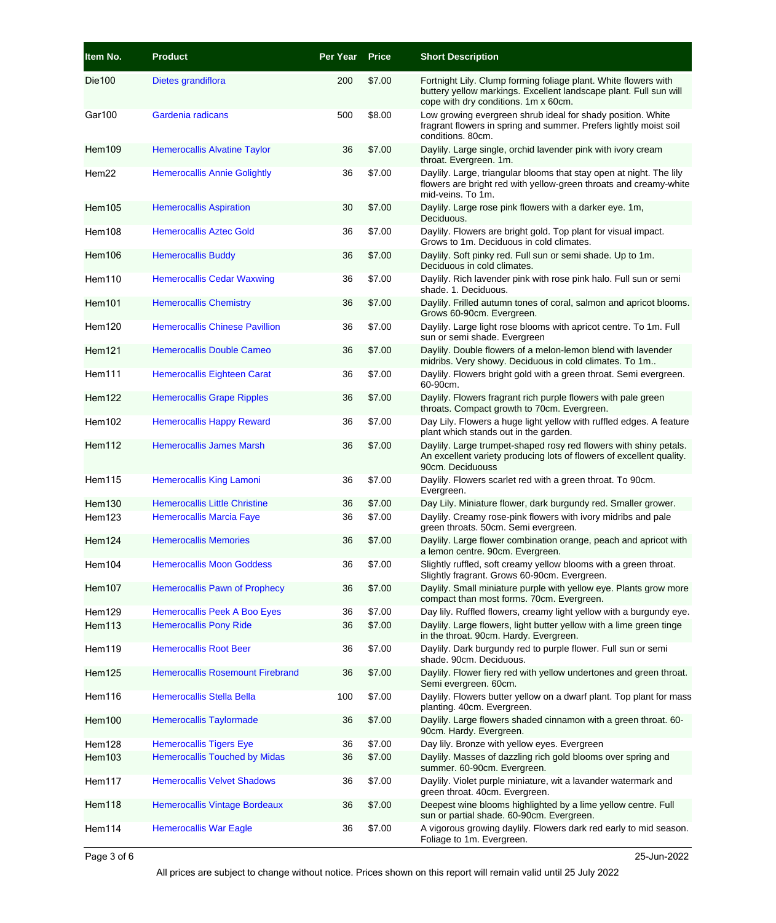| Item No.           | <b>Product</b>                          | Per Year Price |        | <b>Short Description</b>                                                                                                                                                     |
|--------------------|-----------------------------------------|----------------|--------|------------------------------------------------------------------------------------------------------------------------------------------------------------------------------|
| Die 100            | Dietes grandiflora                      | 200            | \$7.00 | Fortnight Lily. Clump forming foliage plant. White flowers with<br>buttery yellow markings. Excellent landscape plant. Full sun will<br>cope with dry conditions. 1m x 60cm. |
| Gar100             | Gardenia radicans                       | 500            | \$8.00 | Low growing evergreen shrub ideal for shady position. White<br>fragrant flowers in spring and summer. Prefers lightly moist soil<br>conditions. 80cm.                        |
| Hem109             | <b>Hemerocallis Alvatine Taylor</b>     | 36             | \$7.00 | Daylily. Large single, orchid lavender pink with ivory cream<br>throat. Evergreen. 1m.                                                                                       |
| Hem22              | <b>Hemerocallis Annie Golightly</b>     | 36             | \$7.00 | Daylily. Large, triangular blooms that stay open at night. The lily<br>flowers are bright red with yellow-green throats and creamy-white<br>mid-veins. To 1m.                |
| Hem105             | <b>Hemerocallis Aspiration</b>          | 30             | \$7.00 | Daylily. Large rose pink flowers with a darker eye. 1m,<br>Deciduous.                                                                                                        |
| Hem108             | <b>Hemerocallis Aztec Gold</b>          | 36             | \$7.00 | Daylily. Flowers are bright gold. Top plant for visual impact.<br>Grows to 1m. Deciduous in cold climates.                                                                   |
| Hem106             | <b>Hemerocallis Buddy</b>               | 36             | \$7.00 | Daylily. Soft pinky red. Full sun or semi shade. Up to 1m.<br>Deciduous in cold climates.                                                                                    |
| Hem110             | <b>Hemerocallis Cedar Waxwing</b>       | 36             | \$7.00 | Daylily. Rich lavender pink with rose pink halo. Full sun or semi<br>shade, 1. Deciduous.                                                                                    |
| Hem101             | <b>Hemerocallis Chemistry</b>           | 36             | \$7.00 | Daylily. Frilled autumn tones of coral, salmon and apricot blooms.<br>Grows 60-90cm. Evergreen.                                                                              |
| Hem120             | <b>Hemerocallis Chinese Pavillion</b>   | 36             | \$7.00 | Daylily. Large light rose blooms with apricot centre. To 1m. Full<br>sun or semi shade. Evergreen                                                                            |
| Hem <sub>121</sub> | <b>Hemerocallis Double Cameo</b>        | 36             | \$7.00 | Daylily. Double flowers of a melon-lemon blend with lavender<br>midribs. Very showy. Deciduous in cold climates. To 1m                                                       |
| Hem111             | Hemerocallis Eighteen Carat             | 36             | \$7.00 | Daylily. Flowers bright gold with a green throat. Semi evergreen.<br>60-90cm.                                                                                                |
| Hem122             | <b>Hemerocallis Grape Ripples</b>       | 36             | \$7.00 | Daylily. Flowers fragrant rich purple flowers with pale green<br>throats. Compact growth to 70cm. Evergreen.                                                                 |
| Hem102             | <b>Hemerocallis Happy Reward</b>        | 36             | \$7.00 | Day Lily. Flowers a huge light yellow with ruffled edges. A feature<br>plant which stands out in the garden.                                                                 |
| Hem112             | <b>Hemerocallis James Marsh</b>         | 36             | \$7.00 | Daylily. Large trumpet-shaped rosy red flowers with shiny petals.<br>An excellent variety producing lots of flowers of excellent quality.<br>90cm. Deciduouss                |
| Hem115             | Hemerocallis King Lamoni                | 36             | \$7.00 | Daylily. Flowers scarlet red with a green throat. To 90cm.<br>Evergreen.                                                                                                     |
| Hem <sub>130</sub> | <b>Hemerocallis Little Christine</b>    | 36             | \$7.00 | Day Lily. Miniature flower, dark burgundy red. Smaller grower.                                                                                                               |
| Hem123             | <b>Hemerocallis Marcia Faye</b>         | 36             | \$7.00 | Daylily. Creamy rose-pink flowers with ivory midribs and pale<br>green throats. 50cm. Semi evergreen.                                                                        |
| Hem124             | <b>Hemerocallis Memories</b>            | 36             | \$7.00 | Daylily. Large flower combination orange, peach and apricot with<br>a lemon centre. 90cm. Evergreen.                                                                         |
| Hem104             | <b>Hemerocallis Moon Goddess</b>        | 36             | \$7.00 | Slightly ruffled, soft creamy vellow blooms with a green throat.<br>Slightly fragrant. Grows 60-90cm. Evergreen.                                                             |
| Hem107             | <b>Hemerocallis Pawn of Prophecy</b>    | 36             | \$7.00 | Daylily. Small miniature purple with yellow eye. Plants grow more<br>compact than most forms. 70cm. Evergreen.                                                               |
| Hem129             | <b>Hemerocallis Peek A Boo Eyes</b>     | 36             | \$7.00 | Day lily. Ruffled flowers, creamy light yellow with a burgundy eye.                                                                                                          |
| Hem113             | <b>Hemerocallis Pony Ride</b>           | 36             | \$7.00 | Daylily. Large flowers, light butter yellow with a lime green tinge<br>in the throat. 90cm. Hardy. Evergreen.                                                                |
| Hem119             | <b>Hemerocallis Root Beer</b>           | 36             | \$7.00 | Daylily. Dark burgundy red to purple flower. Full sun or semi<br>shade. 90cm. Deciduous.                                                                                     |
| Hem125             | <b>Hemerocallis Rosemount Firebrand</b> | 36             | \$7.00 | Daylily. Flower fiery red with yellow undertones and green throat.<br>Semi evergreen. 60cm.                                                                                  |
| Hem116             | Hemerocallis Stella Bella               | 100            | \$7.00 | Daylily. Flowers butter yellow on a dwarf plant. Top plant for mass<br>planting. 40cm. Evergreen.                                                                            |
| Hem100             | <b>Hemerocallis Taylormade</b>          | 36             | \$7.00 | Daylily. Large flowers shaded cinnamon with a green throat. 60-<br>90cm. Hardy. Evergreen.                                                                                   |
| Hem128             | <b>Hemerocallis Tigers Eye</b>          | 36             | \$7.00 | Day lily. Bronze with yellow eyes. Evergreen                                                                                                                                 |
| Hem103             | <b>Hemerocallis Touched by Midas</b>    | 36             | \$7.00 | Daylily. Masses of dazzling rich gold blooms over spring and<br>summer. 60-90cm. Evergreen.                                                                                  |
| Hem117             | <b>Hemerocallis Velvet Shadows</b>      | 36             | \$7.00 | Daylily. Violet purple miniature, wit a lavander watermark and<br>green throat. 40cm. Evergreen.                                                                             |
| Hem118             | <b>Hemerocallis Vintage Bordeaux</b>    | 36             | \$7.00 | Deepest wine blooms highlighted by a lime yellow centre. Full<br>sun or partial shade. 60-90cm. Evergreen.                                                                   |
| Hem114             | <b>Hemerocallis War Eagle</b>           | 36             | \$7.00 | A vigorous growing daylily. Flowers dark red early to mid season.<br>Foliage to 1m. Evergreen.                                                                               |

All prices are subject to change without notice. Prices shown on this report will remain valid until 25 July 2022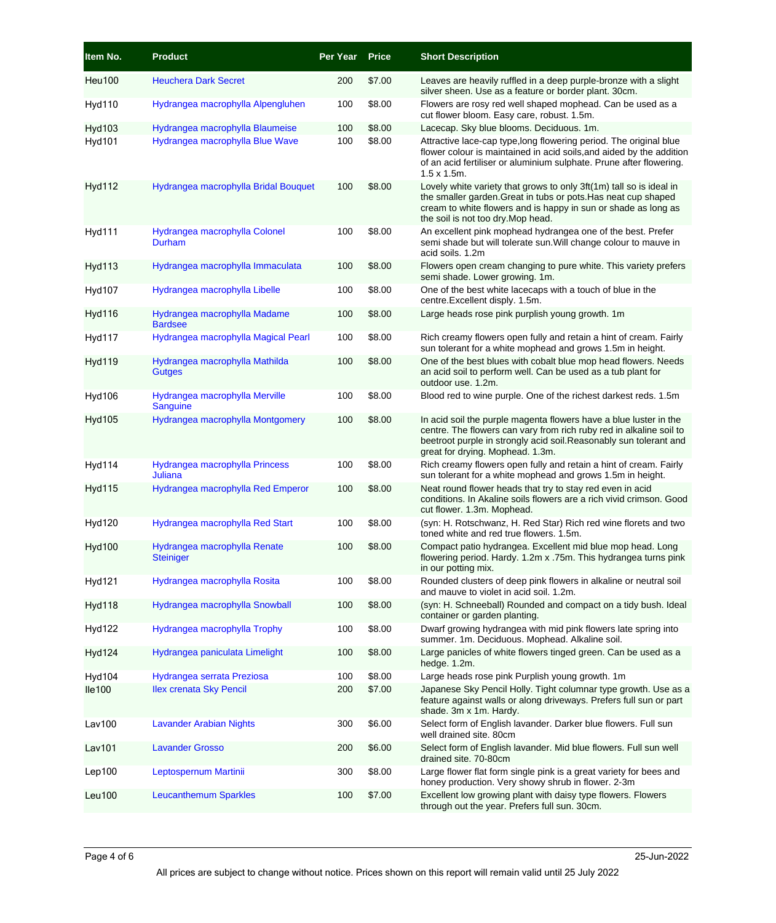| Item No.      | <b>Product</b>                                   | Per Year | <b>Price</b> | <b>Short Description</b>                                                                                                                                                                                                                           |
|---------------|--------------------------------------------------|----------|--------------|----------------------------------------------------------------------------------------------------------------------------------------------------------------------------------------------------------------------------------------------------|
| <b>Heu100</b> | <b>Heuchera Dark Secret</b>                      | 200      | \$7.00       | Leaves are heavily ruffled in a deep purple-bronze with a slight<br>silver sheen. Use as a feature or border plant. 30cm.                                                                                                                          |
| <b>Hyd110</b> | Hydrangea macrophylla Alpengluhen                | 100      | \$8.00       | Flowers are rosy red well shaped mophead. Can be used as a<br>cut flower bloom. Easy care, robust. 1.5m.                                                                                                                                           |
| <b>Hyd103</b> | Hydrangea macrophylla Blaumeise                  | 100      | \$8.00       | Lacecap. Sky blue blooms. Deciduous. 1m.                                                                                                                                                                                                           |
| <b>Hyd101</b> | Hydrangea macrophylla Blue Wave                  | 100      | \$8.00       | Attractive lace-cap type, long flowering period. The original blue<br>flower colour is maintained in acid soils, and aided by the addition<br>of an acid fertiliser or aluminium sulphate. Prune after flowering.<br>$1.5 \times 1.5$ m.           |
| <b>Hyd112</b> | Hydrangea macrophylla Bridal Bouquet             | 100      | \$8.00       | Lovely white variety that grows to only 3ft(1m) tall so is ideal in<br>the smaller garden. Great in tubs or pots. Has neat cup shaped<br>cream to white flowers and is happy in sun or shade as long as<br>the soil is not too dry. Mop head.      |
| Hyd111        | Hydrangea macrophylla Colonel<br>Durham          | 100      | \$8.00       | An excellent pink mophead hydrangea one of the best. Prefer<br>semi shade but will tolerate sun. Will change colour to mauve in<br>acid soils. 1.2m                                                                                                |
| <b>Hyd113</b> | Hydrangea macrophylla Immaculata                 | 100      | \$8.00       | Flowers open cream changing to pure white. This variety prefers<br>semi shade. Lower growing. 1m.                                                                                                                                                  |
| <b>Hyd107</b> | Hydrangea macrophylla Libelle                    | 100      | \$8.00       | One of the best white lacecaps with a touch of blue in the<br>centre.Excellent disply. 1.5m.                                                                                                                                                       |
| <b>Hyd116</b> | Hydrangea macrophylla Madame<br><b>Bardsee</b>   | 100      | \$8.00       | Large heads rose pink purplish young growth. 1m                                                                                                                                                                                                    |
| <b>Hyd117</b> | Hydrangea macrophylla Magical Pearl              | 100      | \$8.00       | Rich creamy flowers open fully and retain a hint of cream. Fairly<br>sun tolerant for a white mophead and grows 1.5m in height.                                                                                                                    |
| <b>Hyd119</b> | Hydrangea macrophylla Mathilda<br><b>Gutges</b>  | 100      | \$8.00       | One of the best blues with cobalt blue mop head flowers. Needs<br>an acid soil to perform well. Can be used as a tub plant for<br>outdoor use. 1.2m.                                                                                               |
| <b>Hyd106</b> | Hydrangea macrophylla Merville<br>Sanguine       | 100      | \$8.00       | Blood red to wine purple. One of the richest darkest reds. 1.5m                                                                                                                                                                                    |
| <b>Hyd105</b> | Hydrangea macrophylla Montgomery                 | 100      | \$8.00       | In acid soil the purple magenta flowers have a blue luster in the<br>centre. The flowers can vary from rich ruby red in alkaline soil to<br>beetroot purple in strongly acid soil. Reasonably sun tolerant and<br>great for drying. Mophead. 1.3m. |
| Hyd114        | Hydrangea macrophylla Princess<br>Juliana        | 100      | \$8.00       | Rich creamy flowers open fully and retain a hint of cream. Fairly<br>sun tolerant for a white mophead and grows 1.5m in height.                                                                                                                    |
| <b>Hyd115</b> | Hydrangea macrophylla Red Emperor                | 100      | \$8.00       | Neat round flower heads that try to stay red even in acid<br>conditions. In Akaline soils flowers are a rich vivid crimson. Good<br>cut flower. 1.3m. Mophead.                                                                                     |
| <b>Hyd120</b> | Hydrangea macrophylla Red Start                  | 100      | \$8.00       | (syn: H. Rotschwanz, H. Red Star) Rich red wine florets and two<br>toned white and red true flowers, 1.5m.                                                                                                                                         |
| <b>Hyd100</b> | Hydrangea macrophylla Renate<br><b>Steiniger</b> | 100      | \$8.00       | Compact patio hydrangea. Excellent mid blue mop head. Long<br>flowering period. Hardy. 1.2m x .75m. This hydrangea turns pink<br>in our potting mix.                                                                                               |
| <b>Hyd121</b> | Hydrangea macrophylla Rosita                     | 100      | \$8.00       | Rounded clusters of deep pink flowers in alkaline or neutral soil<br>and mauve to violet in acid soil. 1.2m.                                                                                                                                       |
| <b>Hyd118</b> | Hydrangea macrophylla Snowball                   | 100      | \$8.00       | (syn: H. Schneeball) Rounded and compact on a tidy bush. Ideal<br>container or garden planting.                                                                                                                                                    |
| Hyd122        | Hydrangea macrophylla Trophy                     | 100      | \$8.00       | Dwarf growing hydrangea with mid pink flowers late spring into<br>summer. 1m. Deciduous. Mophead. Alkaline soil.                                                                                                                                   |
| <b>Hyd124</b> | Hydrangea paniculata Limelight                   | 100      | \$8.00       | Large panicles of white flowers tinged green. Can be used as a<br>hedge. 1.2m.                                                                                                                                                                     |
| <b>Hyd104</b> | Hydrangea serrata Preziosa                       | 100      | \$8.00       | Large heads rose pink Purplish young growth. 1m                                                                                                                                                                                                    |
| lle100        | <b>Ilex crenata Sky Pencil</b>                   | 200      | \$7.00       | Japanese Sky Pencil Holly. Tight columnar type growth. Use as a<br>feature against walls or along driveways. Prefers full sun or part<br>shade. 3m x 1m. Hardy.                                                                                    |
| Lav100        | <b>Lavander Arabian Nights</b>                   | 300      | \$6.00       | Select form of English lavander. Darker blue flowers. Full sun<br>well drained site. 80cm                                                                                                                                                          |
| <b>Lav101</b> | <b>Lavander Grosso</b>                           | 200      | \$6.00       | Select form of English lavander. Mid blue flowers. Full sun well<br>drained site. 70-80cm                                                                                                                                                          |
| Lep100        | Leptospernum Martinii                            | 300      | \$8.00       | Large flower flat form single pink is a great variety for bees and<br>honey production. Very showy shrub in flower. 2-3m                                                                                                                           |
| Leu100        | <b>Leucanthemum Sparkles</b>                     | 100      | \$7.00       | Excellent low growing plant with daisy type flowers. Flowers<br>through out the year. Prefers full sun. 30cm.                                                                                                                                      |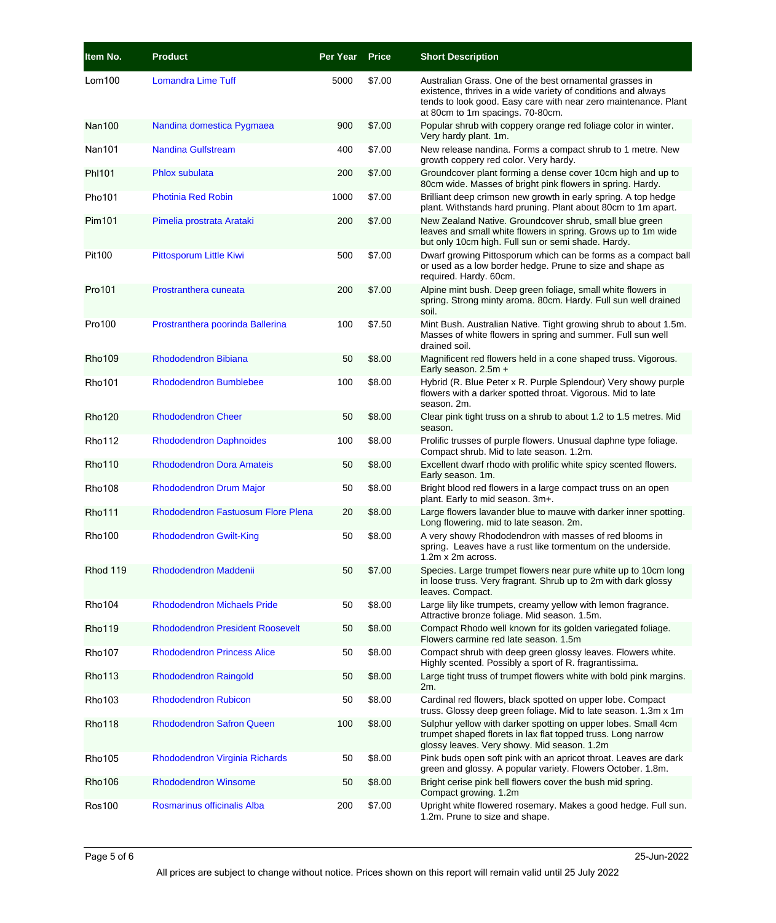| Item No.      | <b>Product</b>                            | Per Year | <b>Price</b> | <b>Short Description</b>                                                                                                                                                                                                        |
|---------------|-------------------------------------------|----------|--------------|---------------------------------------------------------------------------------------------------------------------------------------------------------------------------------------------------------------------------------|
| Lom100        | <b>Lomandra Lime Tuff</b>                 | 5000     | \$7.00       | Australian Grass. One of the best ornamental grasses in<br>existence, thrives in a wide variety of conditions and always<br>tends to look good. Easy care with near zero maintenance. Plant<br>at 80cm to 1m spacings. 70-80cm. |
| <b>Nan100</b> | Nandina domestica Pygmaea                 | 900      | \$7.00       | Popular shrub with coppery orange red foliage color in winter.<br>Very hardy plant. 1m.                                                                                                                                         |
| <b>Nan101</b> | <b>Nandina Gulfstream</b>                 | 400      | \$7.00       | New release nandina. Forms a compact shrub to 1 metre. New<br>growth coppery red color. Very hardy.                                                                                                                             |
| PhI101        | <b>Phlox subulata</b>                     | 200      | \$7.00       | Groundcover plant forming a dense cover 10cm high and up to<br>80cm wide. Masses of bright pink flowers in spring. Hardy.                                                                                                       |
| Pho101        | <b>Photinia Red Robin</b>                 | 1000     | \$7.00       | Brilliant deep crimson new growth in early spring. A top hedge<br>plant. Withstands hard pruning. Plant about 80cm to 1m apart.                                                                                                 |
| Pim101        | Pimelia prostrata Arataki                 | 200      | \$7.00       | New Zealand Native. Groundcover shrub, small blue green<br>leaves and small white flowers in spring. Grows up to 1m wide<br>but only 10cm high. Full sun or semi shade. Hardy.                                                  |
| Pit100        | Pittosporum Little Kiwi                   | 500      | \$7.00       | Dwarf growing Pittosporum which can be forms as a compact ball<br>or used as a low border hedge. Prune to size and shape as<br>required. Hardy. 60cm.                                                                           |
| Pro101        | Prostranthera cuneata                     | 200      | \$7.00       | Alpine mint bush. Deep green foliage, small white flowers in<br>spring. Strong minty aroma. 80cm. Hardy. Full sun well drained<br>soil.                                                                                         |
| Pro100        | Prostranthera poorinda Ballerina          | 100      | \$7.50       | Mint Bush. Australian Native. Tight growing shrub to about 1.5m.<br>Masses of white flowers in spring and summer. Full sun well<br>drained soil.                                                                                |
| <b>Rho109</b> | <b>Rhododendron Bibiana</b>               | 50       | \$8.00       | Magnificent red flowers held in a cone shaped truss. Vigorous.<br>Early season. 2.5m +                                                                                                                                          |
| <b>Rho101</b> | <b>Rhododendron Bumblebee</b>             | 100      | \$8.00       | Hybrid (R. Blue Peter x R. Purple Splendour) Very showy purple<br>flowers with a darker spotted throat. Vigorous. Mid to late<br>season, 2m.                                                                                    |
| <b>Rho120</b> | <b>Rhododendron Cheer</b>                 | 50       | \$8.00       | Clear pink tight truss on a shrub to about 1.2 to 1.5 metres. Mid<br>season.                                                                                                                                                    |
| <b>Rho112</b> | <b>Rhododendron Daphnoides</b>            | 100      | \$8.00       | Prolific trusses of purple flowers. Unusual daphne type foliage.<br>Compact shrub. Mid to late season. 1.2m.                                                                                                                    |
| <b>Rho110</b> | <b>Rhododendron Dora Amateis</b>          | 50       | \$8.00       | Excellent dwarf rhodo with prolific white spicy scented flowers.<br>Early season. 1m.                                                                                                                                           |
| <b>Rho108</b> | <b>Rhododendron Drum Major</b>            | 50       | \$8.00       | Bright blood red flowers in a large compact truss on an open<br>plant. Early to mid season. 3m+.                                                                                                                                |
| <b>Rho111</b> | <b>Rhododendron Fastuosum Flore Plena</b> | 20       | \$8.00       | Large flowers lavander blue to mauve with darker inner spotting.<br>Long flowering. mid to late season. 2m.                                                                                                                     |
| <b>Rho100</b> | <b>Rhododendron Gwilt-King</b>            | 50       | \$8.00       | A very showy Rhododendron with masses of red blooms in<br>spring. Leaves have a rust like tormentum on the underside.<br>1.2m x 2m across.                                                                                      |
| Rhod 119      | <b>Rhododendron Maddenii</b>              | 50       | \$7.00       | Species. Large trumpet flowers near pure white up to 10cm long<br>in loose truss. Very fragrant. Shrub up to 2m with dark glossy<br>leaves. Compact.                                                                            |
| <b>Rho104</b> | <b>Rhododendron Michaels Pride</b>        | 50       | \$8.00       | Large lily like trumpets, creamy yellow with lemon fragrance.<br>Attractive bronze foliage. Mid season. 1.5m.                                                                                                                   |
| <b>Rho119</b> | <b>Rhododendron President Roosevelt</b>   | 50       | \$8.00       | Compact Rhodo well known for its golden variegated foliage.<br>Flowers carmine red late season, 1.5m                                                                                                                            |
| <b>Rho107</b> | <b>Rhododendron Princess Alice</b>        | 50       | \$8.00       | Compact shrub with deep green glossy leaves. Flowers white.<br>Highly scented. Possibly a sport of R. fragrantissima.                                                                                                           |
| <b>Rho113</b> | <b>Rhododendron Raingold</b>              | 50       | \$8.00       | Large tight truss of trumpet flowers white with bold pink margins.<br>2m.                                                                                                                                                       |
| <b>Rho103</b> | <b>Rhododendron Rubicon</b>               | 50       | \$8.00       | Cardinal red flowers, black spotted on upper lobe. Compact<br>truss. Glossy deep green foliage. Mid to late season. 1.3m x 1m                                                                                                   |
| <b>Rho118</b> | <b>Rhododendron Safron Queen</b>          | 100      | \$8.00       | Sulphur yellow with darker spotting on upper lobes. Small 4cm<br>trumpet shaped florets in lax flat topped truss. Long narrow<br>glossy leaves. Very showy. Mid season. 1.2m                                                    |
| <b>Rho105</b> | Rhododendron Virginia Richards            | 50       | \$8.00       | Pink buds open soft pink with an apricot throat. Leaves are dark<br>green and glossy. A popular variety. Flowers October. 1.8m.                                                                                                 |
| <b>Rho106</b> | <b>Rhododendron Winsome</b>               | 50       | \$8.00       | Bright cerise pink bell flowers cover the bush mid spring.<br>Compact growing. 1.2m                                                                                                                                             |
| <b>Ros100</b> | Rosmarinus officinalis Alba               | 200      | \$7.00       | Upright white flowered rosemary. Makes a good hedge. Full sun.<br>1.2m. Prune to size and shape.                                                                                                                                |